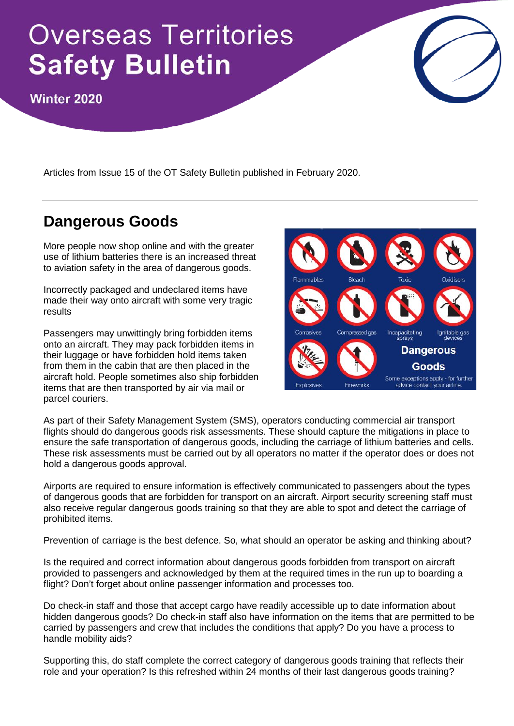# **Overseas Territories Safety Bulletin**

Winter 2020

Articles from Issue 15 of the OT Safety Bulletin published in February 2020.

## **Dangerous Goods**

More people now shop online and with the greater use of lithium batteries there is an increased threat to aviation safety in the area of dangerous goods.

Incorrectly packaged and undeclared items have made their way onto aircraft with some very tragic results

Passengers may unwittingly bring forbidden items onto an aircraft. They may pack forbidden items in their luggage or have forbidden hold items taken from them in the cabin that are then placed in the aircraft hold. People sometimes also ship forbidden items that are then transported by air via mail or parcel couriers.



As part of their Safety Management System (SMS), operators conducting commercial air transport flights should do dangerous goods risk assessments. These should capture the mitigations in place to ensure the safe transportation of dangerous goods, including the carriage of lithium batteries and cells. These risk assessments must be carried out by all operators no matter if the operator does or does not hold a dangerous goods approval.

Airports are required to ensure information is effectively communicated to passengers about the types of dangerous goods that are forbidden for transport on an aircraft. Airport security screening staff must also receive regular dangerous goods training so that they are able to spot and detect the carriage of prohibited items.

Prevention of carriage is the best defence. So, what should an operator be asking and thinking about?

Is the required and correct information about dangerous goods forbidden from transport on aircraft provided to passengers and acknowledged by them at the required times in the run up to boarding a flight? Don't forget about online passenger information and processes too.

Do check-in staff and those that accept cargo have readily accessible up to date information about hidden dangerous goods? Do check-in staff also have information on the items that are permitted to be carried by passengers and crew that includes the conditions that apply? Do you have a process to handle mobility aids?

Supporting this, do staff complete the correct category of dangerous goods training that reflects their role and your operation? Is this refreshed within 24 months of their last dangerous goods training?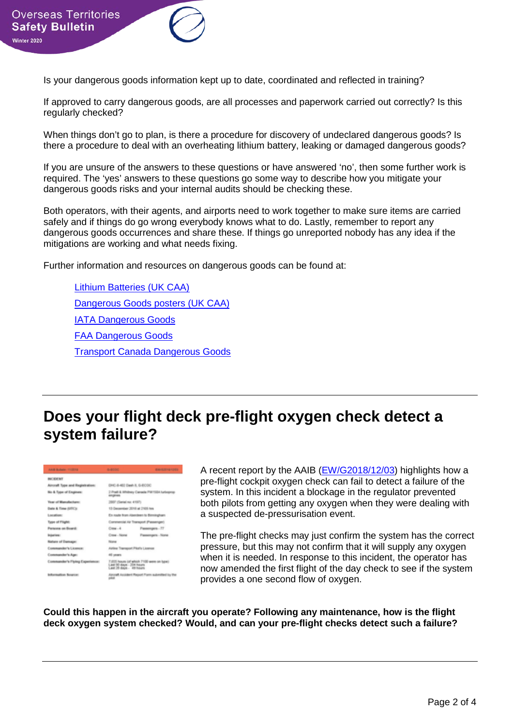Is your dangerous goods information kept up to date, coordinated and reflected in training?

If approved to carry dangerous goods, are all processes and paperwork carried out correctly? Is this regularly checked?

When things don't go to plan, is there a procedure for discovery of undeclared dangerous goods? Is there a procedure to deal with an overheating lithium battery, leaking or damaged dangerous goods?

If you are unsure of the answers to these questions or have answered 'no', then some further work is required. The 'yes' answers to these questions go some way to describe how you mitigate your dangerous goods risks and your internal audits should be checking these.

Both operators, with their agents, and airports need to work together to make sure items are carried safely and if things do go wrong everybody knows what to do. Lastly, remember to report any dangerous goods occurrences and share these. If things go unreported nobody has any idea if the mitigations are working and what needs fixing.

Further information and resources on dangerous goods can be found at:

[Lithium Batteries \(UK CAA\)](https://www.caa.co.uk/Commercial-industry/Airports/Safety/Dangerous-goods/Lithium-batteries/) [Dangerous Goods posters \(UK CAA\)](https://www.caa.co.uk/Commercial-industry/Airlines/Dangerous-goods/Dangerous-goods-resources/) [IATA Dangerous Goods](https://www.iata.org/whatwedo/cargo/dgr/Pages/index.aspx) [FAA Dangerous Goods](https://www.faa.gov/hazmat/) [Transport Canada Dangerous Goods](https://www.tc.gc.ca/eng/tdg/safety-menu.htm)

### **Does your flight deck pre-flight oxygen check detect a system failure?**



A recent report by the AAIB [\(EW/G2018/12/03\)](https://www.gov.uk/aaib-reports/aaib-investigation-to-dhc-8-402-dash-8-g-ecoc) highlights how a pre-flight cockpit oxygen check can fail to detect a failure of the system. In this incident a blockage in the regulator prevented both pilots from getting any oxygen when they were dealing with a suspected de-pressurisation event.

The pre-flight checks may just confirm the system has the correct pressure, but this may not confirm that it will supply any oxygen when it is needed. In response to this incident, the operator has now amended the first flight of the day check to see if the system provides a one second flow of oxygen.

**Could this happen in the aircraft you operate? Following any maintenance, how is the flight deck oxygen system checked? Would, and can your pre-flight checks detect such a failure?**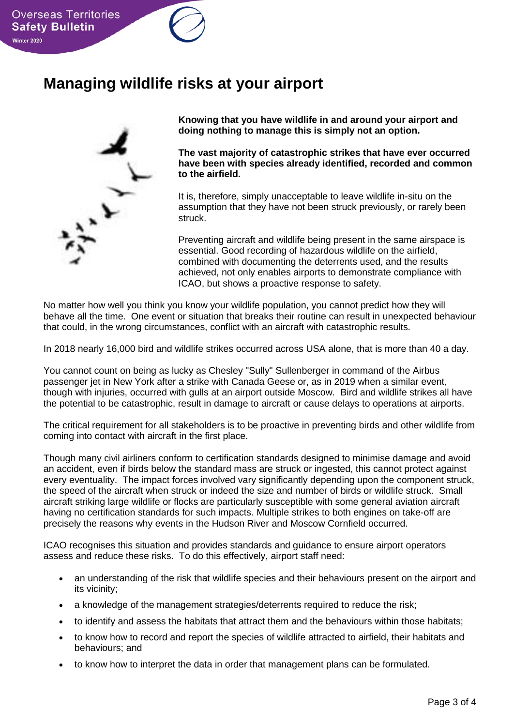#### **Managing wildlife risks at your airport**



**Knowing that you have wildlife in and around your airport and doing nothing to manage this is simply not an option.**

**The vast majority of catastrophic strikes that have ever occurred have been with species already identified, recorded and common to the airfield.**

It is, therefore, simply unacceptable to leave wildlife in-situ on the assumption that they have not been struck previously, or rarely been struck.

Preventing aircraft and wildlife being present in the same airspace is essential. Good recording of hazardous wildlife on the airfield, combined with documenting the deterrents used, and the results achieved, not only enables airports to demonstrate compliance with ICAO, but shows a proactive response to safety.

No matter how well you think you know your wildlife population, you cannot predict how they will behave all the time. One event or situation that breaks their routine can result in unexpected behaviour that could, in the wrong circumstances, conflict with an aircraft with catastrophic results.

In 2018 nearly 16,000 bird and wildlife strikes occurred across USA alone, that is more than 40 a day.

You cannot count on being as lucky as Chesley "Sully" Sullenberger in command of the Airbus passenger jet in New York after a strike with Canada Geese or, as in 2019 when a similar event, though with injuries, occurred with gulls at an airport outside Moscow. Bird and wildlife strikes all have the potential to be catastrophic, result in damage to aircraft or cause delays to operations at airports.

The critical requirement for all stakeholders is to be proactive in preventing birds and other wildlife from coming into contact with aircraft in the first place.

Though many civil airliners conform to certification standards designed to minimise damage and avoid an accident, even if birds below the standard mass are struck or ingested, this cannot protect against every eventuality. The impact forces involved vary significantly depending upon the component struck, the speed of the aircraft when struck or indeed the size and number of birds or wildlife struck. Small aircraft striking large wildlife or flocks are particularly susceptible with some general aviation aircraft having no certification standards for such impacts. Multiple strikes to both engines on take-off are precisely the reasons why events in the Hudson River and Moscow Cornfield occurred.

ICAO recognises this situation and provides standards and guidance to ensure airport operators assess and reduce these risks. To do this effectively, airport staff need:

- an understanding of the risk that wildlife species and their behaviours present on the airport and its vicinity;
- a knowledge of the management strategies/deterrents required to reduce the risk;
- to identify and assess the habitats that attract them and the behaviours within those habitats;
- to know how to record and report the species of wildlife attracted to airfield, their habitats and behaviours; and
- to know how to interpret the data in order that management plans can be formulated.